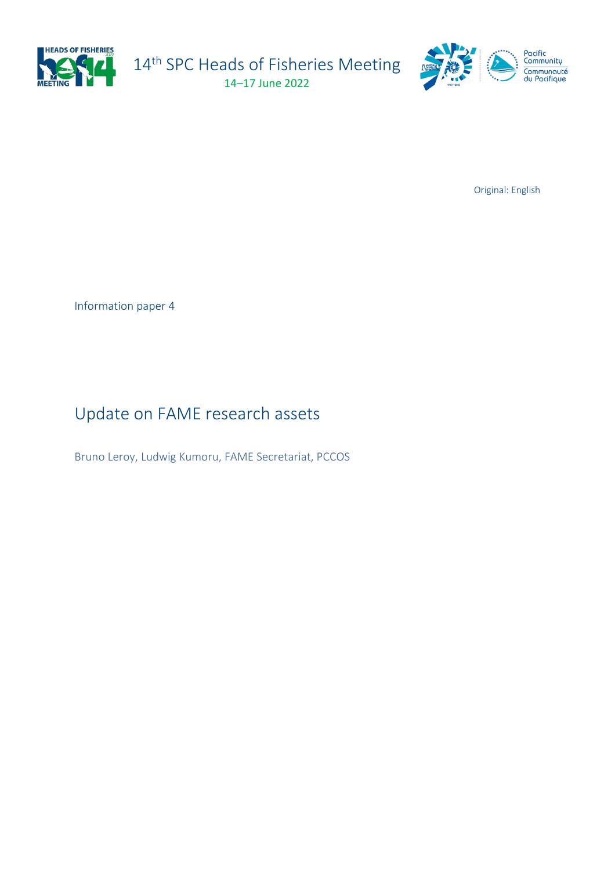

14<sup>th</sup> SPC Heads of Fisheries Meeting 14–17 June 2022





Original: English

Information paper 4

Update on FAME research assets

Bruno Leroy, Ludwig Kumoru, FAME Secretariat, PCCOS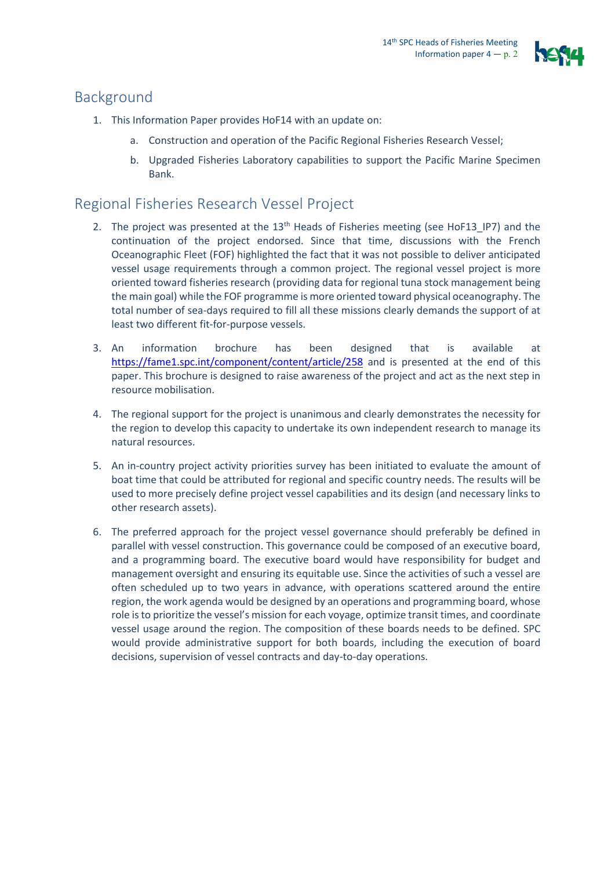

## Background

- 1. This Information Paper provides HoF14 with an update on:
	- a. Construction and operation of the Pacific Regional Fisheries Research Vessel;
	- b. Upgraded Fisheries Laboratory capabilities to support the Pacific Marine Specimen Bank.

# Regional Fisheries Research Vessel Project

- 2. The project was presented at the 13<sup>th</sup> Heads of Fisheries meeting (see HoF13\_IP7) and the continuation of the project endorsed. Since that time, discussions with the French Oceanographic Fleet (FOF) highlighted the fact that it was not possible to deliver anticipated vessel usage requirements through a common project. The regional vessel project is more oriented toward fisheries research (providing data for regional tuna stock management being the main goal) while the FOF programme is more oriented toward physical oceanography. The total number of sea-days required to fill all these missions clearly demands the support of at least two different fit-for-purpose vessels.
- 3. An information brochure has been designed that is available at <https://fame1.spc.int/component/content/article/258> and is presented at the end of this paper. This brochure is designed to raise awareness of the project and act as the next step in resource mobilisation.
- 4. The regional support for the project is unanimous and clearly demonstrates the necessity for the region to develop this capacity to undertake its own independent research to manage its natural resources.
- 5. An in-country project activity priorities survey has been initiated to evaluate the amount of boat time that could be attributed for regional and specific country needs. The results will be used to more precisely define project vessel capabilities and its design (and necessary links to other research assets).
- 6. The preferred approach for the project vessel governance should preferably be defined in parallel with vessel construction. This governance could be composed of an executive board, and a programming board. The executive board would have responsibility for budget and management oversight and ensuring its equitable use. Since the activities of such a vessel are often scheduled up to two years in advance, with operations scattered around the entire region, the work agenda would be designed by an operations and programming board, whose role isto prioritize the vessel's mission for each voyage, optimize transit times, and coordinate vessel usage around the region. The composition of these boards needs to be defined. SPC would provide administrative support for both boards, including the execution of board decisions, supervision of vessel contracts and day-to-day operations.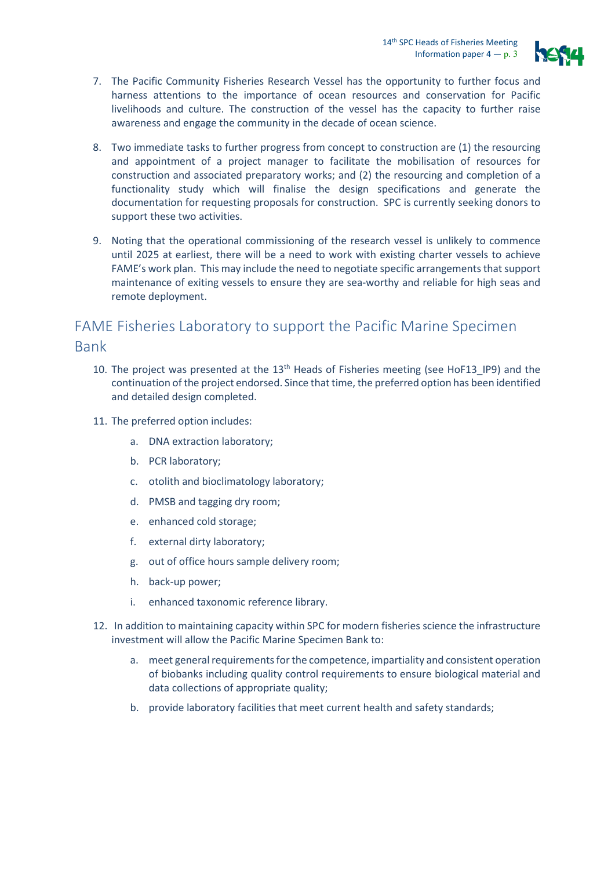

- 7. The Pacific Community Fisheries Research Vessel has the opportunity to further focus and harness attentions to the importance of ocean resources and conservation for Pacific livelihoods and culture. The construction of the vessel has the capacity to further raise awareness and engage the community in the decade of ocean science.
- 8. Two immediate tasks to further progress from concept to construction are (1) the resourcing and appointment of a project manager to facilitate the mobilisation of resources for construction and associated preparatory works; and (2) the resourcing and completion of a functionality study which will finalise the design specifications and generate the documentation for requesting proposals for construction. SPC is currently seeking donors to support these two activities.
- 9. Noting that the operational commissioning of the research vessel is unlikely to commence until 2025 at earliest, there will be a need to work with existing charter vessels to achieve FAME's work plan. This may include the need to negotiate specific arrangements that support maintenance of exiting vessels to ensure they are sea-worthy and reliable for high seas and remote deployment.

## FAME Fisheries Laboratory to support the Pacific Marine Specimen Bank

- 10. The project was presented at the  $13<sup>th</sup>$  Heads of Fisheries meeting (see HoF13, IP9) and the continuation of the project endorsed. Since that time, the preferred option has been identified and detailed design completed.
- 11. The preferred option includes:
	- a. DNA extraction laboratory;
	- b. PCR laboratory;
	- c. otolith and bioclimatology laboratory;
	- d. PMSB and tagging dry room;
	- e. enhanced cold storage;
	- f. external dirty laboratory;
	- g. out of office hours sample delivery room;
	- h. back-up power;
	- i. enhanced taxonomic reference library.
- 12. In addition to maintaining capacity within SPC for modern fisheries science the infrastructure investment will allow the Pacific Marine Specimen Bank to:
	- a. meet general requirements for the competence, impartiality and consistent operation of biobanks including quality control requirements to ensure biological material and data collections of appropriate quality;
	- b. provide laboratory facilities that meet current health and safety standards;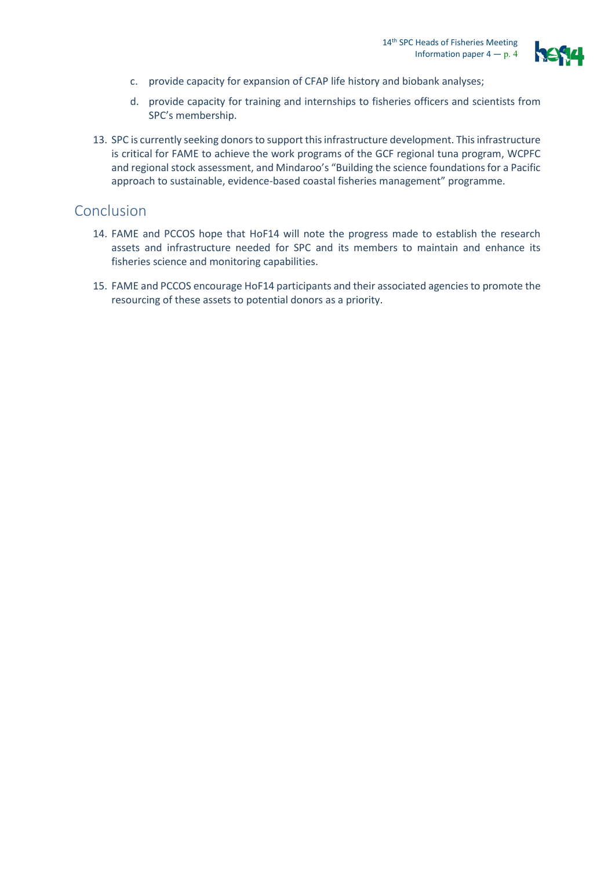

- c. provide capacity for expansion of CFAP life history and biobank analyses;
- d. provide capacity for training and internships to fisheries officers and scientists from SPC's membership.
- 13. SPC is currently seeking donors to support this infrastructure development. This infrastructure is critical for FAME to achieve the work programs of the GCF regional tuna program, WCPFC and regional stock assessment, and Mindaroo's "Building the science foundations for a Pacific approach to sustainable, evidence-based coastal fisheries management" programme.

### Conclusion

- 14. FAME and PCCOS hope that HoF14 will note the progress made to establish the research assets and infrastructure needed for SPC and its members to maintain and enhance its fisheries science and monitoring capabilities.
- 15. FAME and PCCOS encourage HoF14 participants and their associated agencies to promote the resourcing of these assets to potential donors as a priority.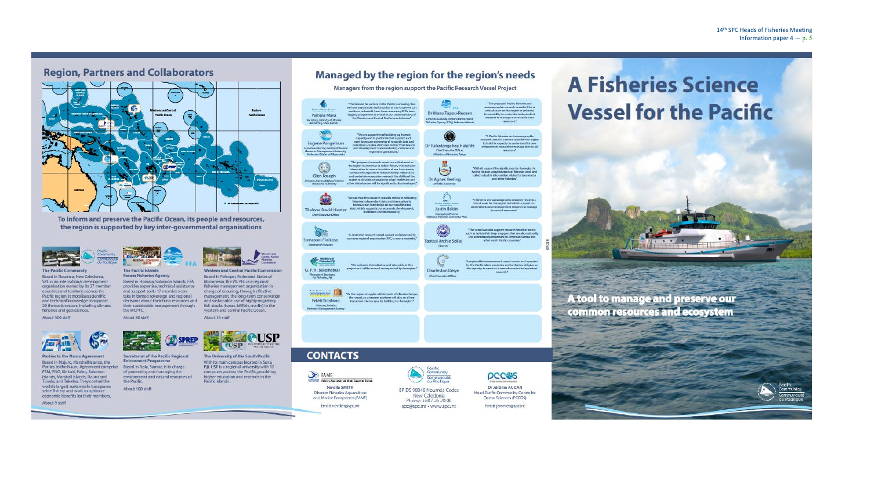### **Region, Partners and Collaborators**



To inform and preserve the Pacific Ocean, its people and resources, the region is supported by key inter-governmental organisations



**The Pacific Community** Based in Noumea, New Caledonia, SPC is an international development organisation owned by its 27 member countries and territories across the Pacific region, It mobilises scientific and technical knowledge to support 20 thematic sectors, including climate, fisheries and geosciences.

About 500 staff



**Parties to the Nauru Agreement** Based in Majuro, Marshall Islands, the Parties to the Nauru Agreement comprise FSM, PNG, Kiribati, Palau, Solomon Islands, Marshall Islands, Nauru and Tuvalu, and Tokelau. They control the world's largest sustainable tuna purse seine fishery and work to optimize economic benefits for their members.

About 9 staff



decisions about their tuna resources and their sustainable management through the WCPFC.

FFA

**SPREP** 

About 80 staff



About 100 staff

**Secretariat of the Pacific Regional Enironment Programme** Based in Apia, Samoa, is in charge of protecting and managing the environment and natural resources of the Pacific



Based in Pohnpei, Federated States of Micronesia, the WCPFC is a regional fisheries management organization in charge of ensuring, through effective management, the long-term conservation and sustainable use of highly migratory fish stocks (tunas, billfish, marlin) in the western and central Pacific Ocean. About 35 staff

**COUSP PUSP** THE UNIVERSITY OF<br>SOUTH PACIFIC The University of the South Pacific

With its main campus located in Suva, Fiji, USP is a regional university with 12 campuses accross the Pacific, providing higher education and research in the Pacific islands

**CONTACTS** 

Pamela Maru

.<br>Contary, Ministry of Mari<br>Researces Cook Islands

Eugene Pangelina

 $\circledcirc$ 

Glen Joseph

tor, Marshall Island M.

€

**Tilafono David Hunter** 

Chief Executive Officer

 $6 -$ 

Samasoni Finikaso

Weistry of

G. P. N. Baleinabuli

Penmanent Secretary<br>for Fishester, Fig.

**MARKETIN** 

Feleti Tulafono

Director, Tokelau

Denctor of Fisheries

**B** FAME Rebeller, Appenditure and Manne Soporatem: Develop **Neville SMITH** Director Fisheries Aquaculture and Marine Ecosystems (FAME) Email: nevilles@spc.int



Managed by the region for the region's needs

Managers from the region support the Pacific Research Vessel Project

Dr Manu Tupou-Roosen

Dr Tuikolongahau Halafihi

Chief Executive Offices Ministry of Fishesias, Tony

 $\odot$ 

**Dr Agnes Yeeting** 

ANSANO, Secretar

 $\mathbb C$ 

Justin Ilakini

Managing Divector<br>nal Fisheries Authori

Q

Taotasi Archie Soliai

Director

**Charleston Deiye** 

Chief Executive Office

tor-General, Pacific Islands Forum<br>fex Agency (FFA), Solomon Island

The interest for us here in the Pacific is ensuring that

- Intermediate the series of the Pather of the future we can<br>continue to benefit from these resources, SPC's tuna<br>tagging programme is critical in our understanding of

"We are supportive of building-up human<br>capacity and in platforms that support suc

work to ensure ownership of research data and<br>outcomes are also attributed to the Small Islands<br>and Development States including national and<br>engines and organisations."

The proposed research weakle is a critical state of<br>the region to continue to collect fathery independent<br>information to an<br>assay the states affect the region of the state than stocks, which<br>are discussed in the state and

We see that this research you af is critical in collecting

faheries independent data and information to<br>improve our knowledge on our tuna faheries

Ivelhood and food security.

"We welcome this initiative and take oride in this

project as it will be owned and operated by the region

 $\% a the region at uggles with impact a of climate change theory, as a smooth platform will play an all too important role in capacity building for the region?$ 

stack which supports our economic develop

% declicated research vessel, owned and ope our own regional organization SPC, is now a nece

d research vessel is a critical asset or

n and Central Pacific tuna fisheries

BP D5 98848 Nouméa Cedex New Caledonia Phone: +687 26 20 00 spc@spc.int - www.spc.int



Dr Jérôme AUCAN Head-Pacific Community Centre for Ocean Sciences (PCCOS) Email: jeromea@spc.int

 $\label{prop:main} \begin{array}{c} \text{``The proposed Pacific induction and} \\ \text{conargusophic measure would be a critical answer for the region to evaluate the equivalence that can calculate the same value of the variables.} \end{array}$ 

rarch to manage its natur

don related to tuna

"A Pacific fisheries and oca mearch vessel is a critical asset for the regi<br>to build its capacity to understand its own

"Kiribati support the significance for the region in<br>having its own vessel to conduct faheries work and

and other fisheries."

"A flaberies and oceanographic research vessel is a<br>critical asset for the region to build its capacity to

its natural resources."

undertake its own independent research to many

 $\label{prop:main}$  The vessel can also support research for other stocks<br> such as bottomfals deep snappen that are also culturally and economically important to American Samoa and<br>other south Pacific countries."

% regional fisheries research vessel owned and ope

by the Pacific bland countries and territories will give us<br>the capacity to conduct our much needed independent



#### 14th SPC Heads of Fisheries Meeting Information paper  $4 - p$ , 5